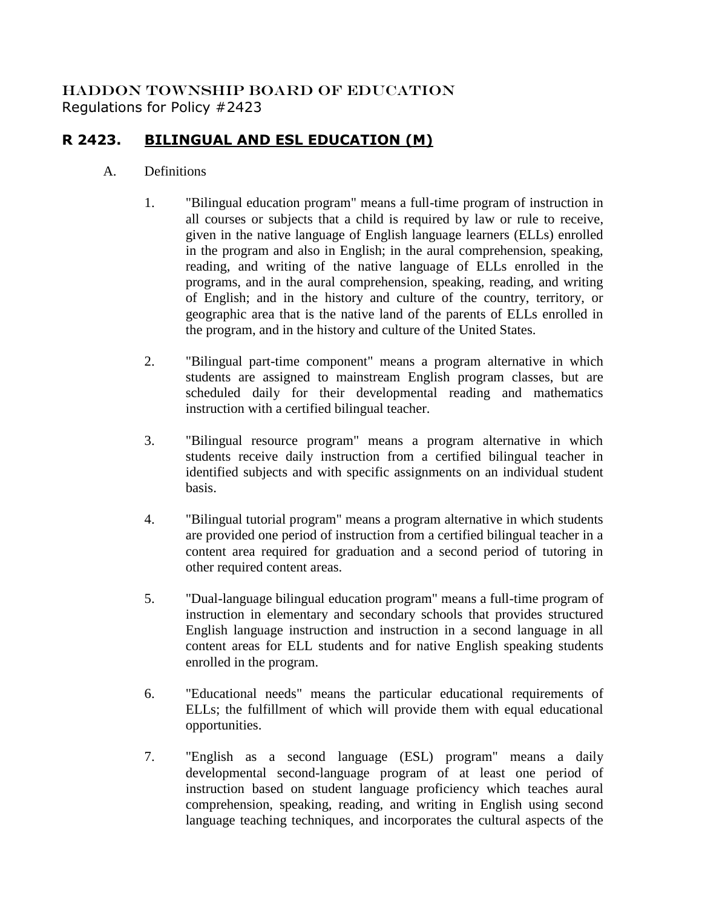## HADDON TOWNSHIP BOARD OF EDUCATION Regulations for Policy #2423

## **R 2423. BILINGUAL AND ESL EDUCATION (M)**

## A. Definitions

- 1. "Bilingual education program" means a full-time program of instruction in all courses or subjects that a child is required by law or rule to receive, given in the native language of English language learners (ELLs) enrolled in the program and also in English; in the aural comprehension, speaking, reading, and writing of the native language of ELLs enrolled in the programs, and in the aural comprehension, speaking, reading, and writing of English; and in the history and culture of the country, territory, or geographic area that is the native land of the parents of ELLs enrolled in the program, and in the history and culture of the United States.
- 2. "Bilingual part-time component" means a program alternative in which students are assigned to mainstream English program classes, but are scheduled daily for their developmental reading and mathematics instruction with a certified bilingual teacher.
- 3. "Bilingual resource program" means a program alternative in which students receive daily instruction from a certified bilingual teacher in identified subjects and with specific assignments on an individual student basis.
- 4. "Bilingual tutorial program" means a program alternative in which students are provided one period of instruction from a certified bilingual teacher in a content area required for graduation and a second period of tutoring in other required content areas.
- 5. "Dual-language bilingual education program" means a full-time program of instruction in elementary and secondary schools that provides structured English language instruction and instruction in a second language in all content areas for ELL students and for native English speaking students enrolled in the program.
- 6. "Educational needs" means the particular educational requirements of ELLs; the fulfillment of which will provide them with equal educational opportunities.
- 7. "English as a second language (ESL) program" means a daily developmental second-language program of at least one period of instruction based on student language proficiency which teaches aural comprehension, speaking, reading, and writing in English using second language teaching techniques, and incorporates the cultural aspects of the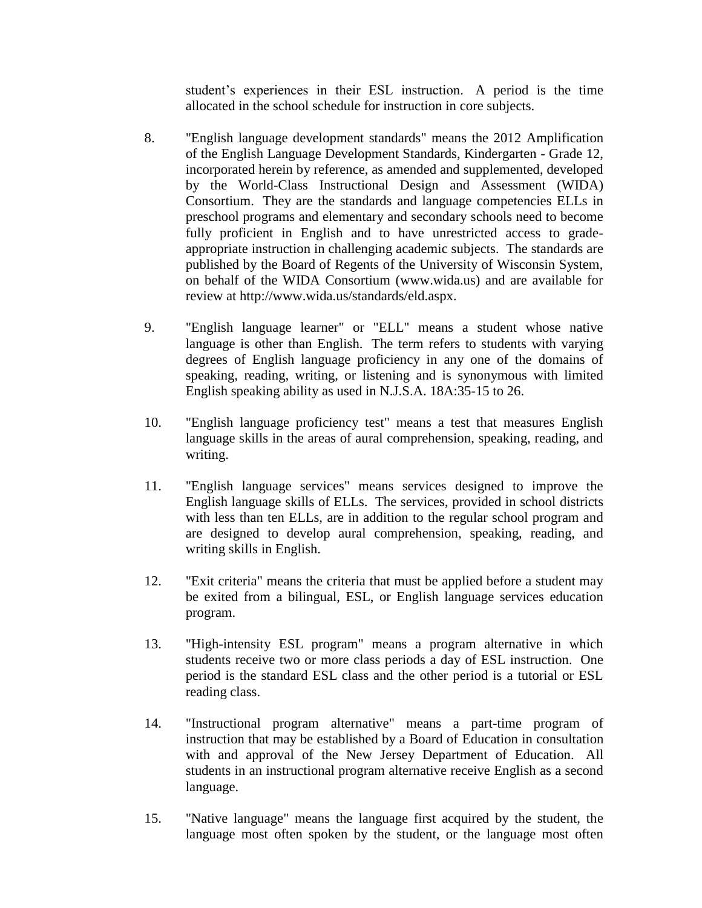student's experiences in their ESL instruction. A period is the time allocated in the school schedule for instruction in core subjects.

- 8. "English language development standards" means the 2012 Amplification of the English Language Development Standards, Kindergarten - Grade 12, incorporated herein by reference, as amended and supplemented, developed by the World-Class Instructional Design and Assessment (WIDA) Consortium. They are the standards and language competencies ELLs in preschool programs and elementary and secondary schools need to become fully proficient in English and to have unrestricted access to gradeappropriate instruction in challenging academic subjects. The standards are published by the Board of Regents of the University of Wisconsin System, on behalf of the WIDA Consortium (www.wida.us) and are available for review at http://www.wida.us/standards/eld.aspx.
- 9. "English language learner" or "ELL" means a student whose native language is other than English. The term refers to students with varying degrees of English language proficiency in any one of the domains of speaking, reading, writing, or listening and is synonymous with limited English speaking ability as used in N.J.S.A. 18A:35-15 to 26.
- 10. "English language proficiency test" means a test that measures English language skills in the areas of aural comprehension, speaking, reading, and writing.
- 11. "English language services" means services designed to improve the English language skills of ELLs. The services, provided in school districts with less than ten ELLs, are in addition to the regular school program and are designed to develop aural comprehension, speaking, reading, and writing skills in English.
- 12. "Exit criteria" means the criteria that must be applied before a student may be exited from a bilingual, ESL, or English language services education program.
- 13. "High-intensity ESL program" means a program alternative in which students receive two or more class periods a day of ESL instruction. One period is the standard ESL class and the other period is a tutorial or ESL reading class.
- 14. "Instructional program alternative" means a part-time program of instruction that may be established by a Board of Education in consultation with and approval of the New Jersey Department of Education. All students in an instructional program alternative receive English as a second language.
- 15. "Native language" means the language first acquired by the student, the language most often spoken by the student, or the language most often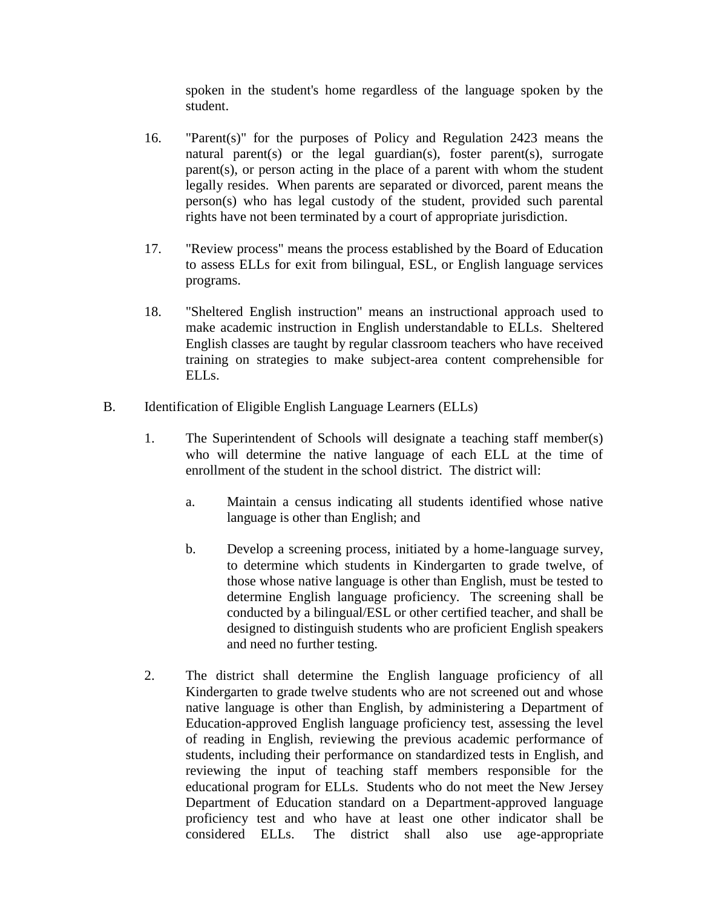spoken in the student's home regardless of the language spoken by the student.

- 16. "Parent(s)" for the purposes of Policy and Regulation 2423 means the natural parent(s) or the legal guardian(s), foster parent(s), surrogate parent(s), or person acting in the place of a parent with whom the student legally resides. When parents are separated or divorced, parent means the person(s) who has legal custody of the student, provided such parental rights have not been terminated by a court of appropriate jurisdiction.
- 17. "Review process" means the process established by the Board of Education to assess ELLs for exit from bilingual, ESL, or English language services programs.
- 18. "Sheltered English instruction" means an instructional approach used to make academic instruction in English understandable to ELLs. Sheltered English classes are taught by regular classroom teachers who have received training on strategies to make subject-area content comprehensible for ELLs.
- B. Identification of Eligible English Language Learners (ELLs)
	- 1. The Superintendent of Schools will designate a teaching staff member(s) who will determine the native language of each ELL at the time of enrollment of the student in the school district. The district will:
		- a. Maintain a census indicating all students identified whose native language is other than English; and
		- b. Develop a screening process, initiated by a home-language survey, to determine which students in Kindergarten to grade twelve, of those whose native language is other than English, must be tested to determine English language proficiency. The screening shall be conducted by a bilingual/ESL or other certified teacher, and shall be designed to distinguish students who are proficient English speakers and need no further testing.
	- 2. The district shall determine the English language proficiency of all Kindergarten to grade twelve students who are not screened out and whose native language is other than English, by administering a Department of Education-approved English language proficiency test, assessing the level of reading in English, reviewing the previous academic performance of students, including their performance on standardized tests in English, and reviewing the input of teaching staff members responsible for the educational program for ELLs. Students who do not meet the New Jersey Department of Education standard on a Department-approved language proficiency test and who have at least one other indicator shall be considered ELLs. The district shall also use age-appropriate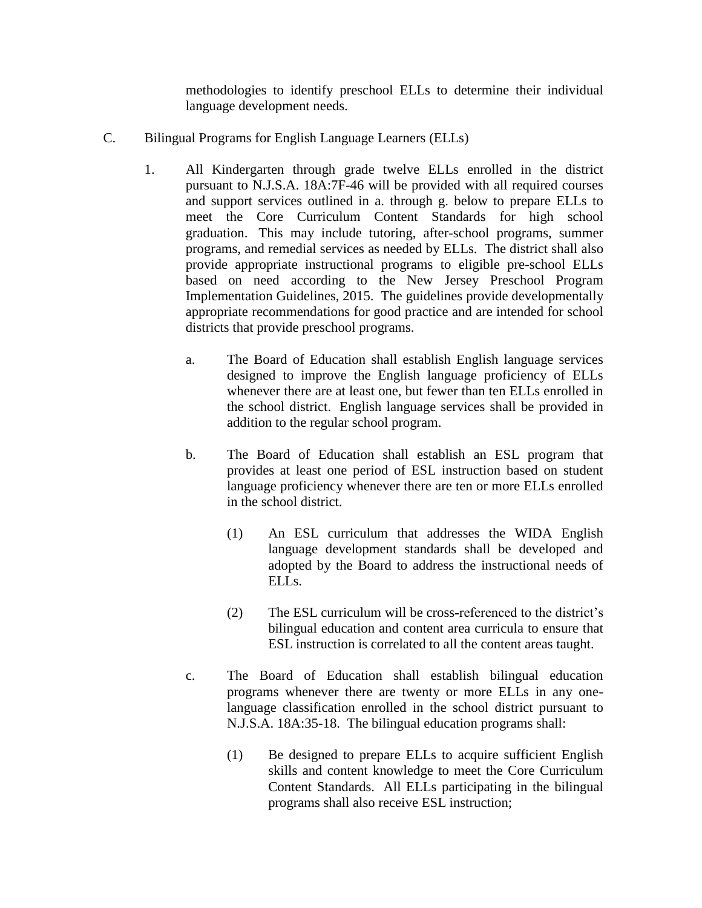methodologies to identify preschool ELLs to determine their individual language development needs.

- C. Bilingual Programs for English Language Learners (ELLs)
	- 1. All Kindergarten through grade twelve ELLs enrolled in the district pursuant to N.J.S.A. 18A:7F-46 will be provided with all required courses and support services outlined in a. through g. below to prepare ELLs to meet the Core Curriculum Content Standards for high school graduation. This may include tutoring, after-school programs, summer programs, and remedial services as needed by ELLs. The district shall also provide appropriate instructional programs to eligible pre-school ELLs based on need according to the New Jersey Preschool Program Implementation Guidelines, 2015. The guidelines provide developmentally appropriate recommendations for good practice and are intended for school districts that provide preschool programs.
		- a. The Board of Education shall establish English language services designed to improve the English language proficiency of ELLs whenever there are at least one, but fewer than ten ELLs enrolled in the school district. English language services shall be provided in addition to the regular school program.
		- b. The Board of Education shall establish an ESL program that provides at least one period of ESL instruction based on student language proficiency whenever there are ten or more ELLs enrolled in the school district.
			- (1) An ESL curriculum that addresses the WIDA English language development standards shall be developed and adopted by the Board to address the instructional needs of ELLs.
			- (2) The ESL curriculum will be cross-referenced to the district's bilingual education and content area curricula to ensure that ESL instruction is correlated to all the content areas taught.
		- c. The Board of Education shall establish bilingual education programs whenever there are twenty or more ELLs in any onelanguage classification enrolled in the school district pursuant to N.J.S.A. 18A:35-18. The bilingual education programs shall:
			- (1) Be designed to prepare ELLs to acquire sufficient English skills and content knowledge to meet the Core Curriculum Content Standards. All ELLs participating in the bilingual programs shall also receive ESL instruction;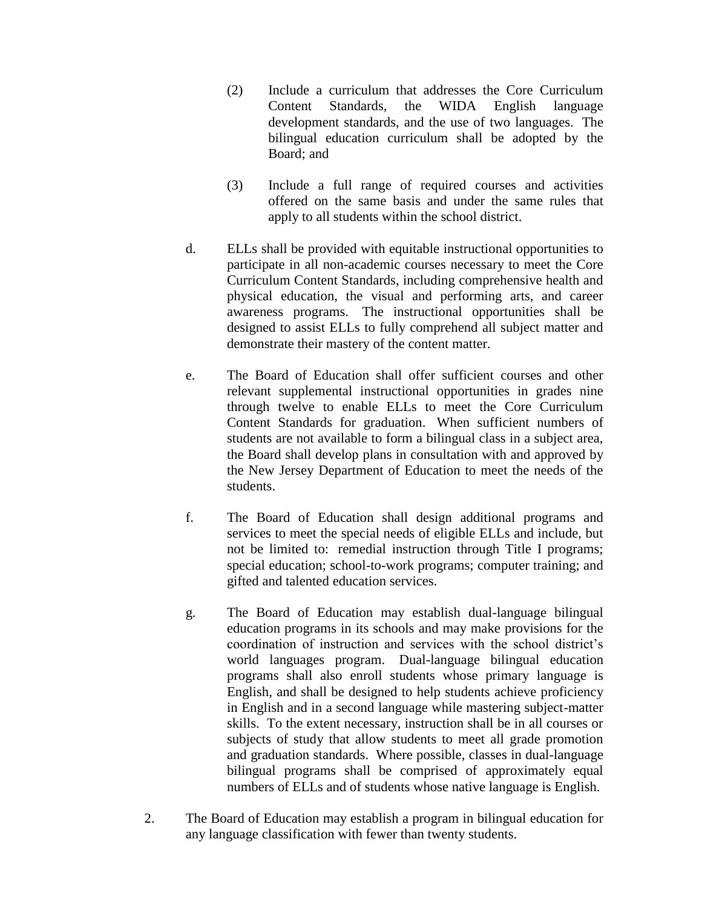- (2) Include a curriculum that addresses the Core Curriculum Content Standards, the WIDA English language development standards, and the use of two languages. The bilingual education curriculum shall be adopted by the Board; and
- (3) Include a full range of required courses and activities offered on the same basis and under the same rules that apply to all students within the school district.
- d. ELLs shall be provided with equitable instructional opportunities to participate in all non-academic courses necessary to meet the Core Curriculum Content Standards, including comprehensive health and physical education, the visual and performing arts, and career awareness programs. The instructional opportunities shall be designed to assist ELLs to fully comprehend all subject matter and demonstrate their mastery of the content matter.
- e. The Board of Education shall offer sufficient courses and other relevant supplemental instructional opportunities in grades nine through twelve to enable ELLs to meet the Core Curriculum Content Standards for graduation. When sufficient numbers of students are not available to form a bilingual class in a subject area, the Board shall develop plans in consultation with and approved by the New Jersey Department of Education to meet the needs of the students.
- f. The Board of Education shall design additional programs and services to meet the special needs of eligible ELLs and include, but not be limited to: remedial instruction through Title I programs; special education; school-to-work programs; computer training; and gifted and talented education services.
- g. The Board of Education may establish dual-language bilingual education programs in its schools and may make provisions for the coordination of instruction and services with the school district's world languages program. Dual-language bilingual education programs shall also enroll students whose primary language is English, and shall be designed to help students achieve proficiency in English and in a second language while mastering subject-matter skills. To the extent necessary, instruction shall be in all courses or subjects of study that allow students to meet all grade promotion and graduation standards. Where possible, classes in dual-language bilingual programs shall be comprised of approximately equal numbers of ELLs and of students whose native language is English.
- 2. The Board of Education may establish a program in bilingual education for any language classification with fewer than twenty students.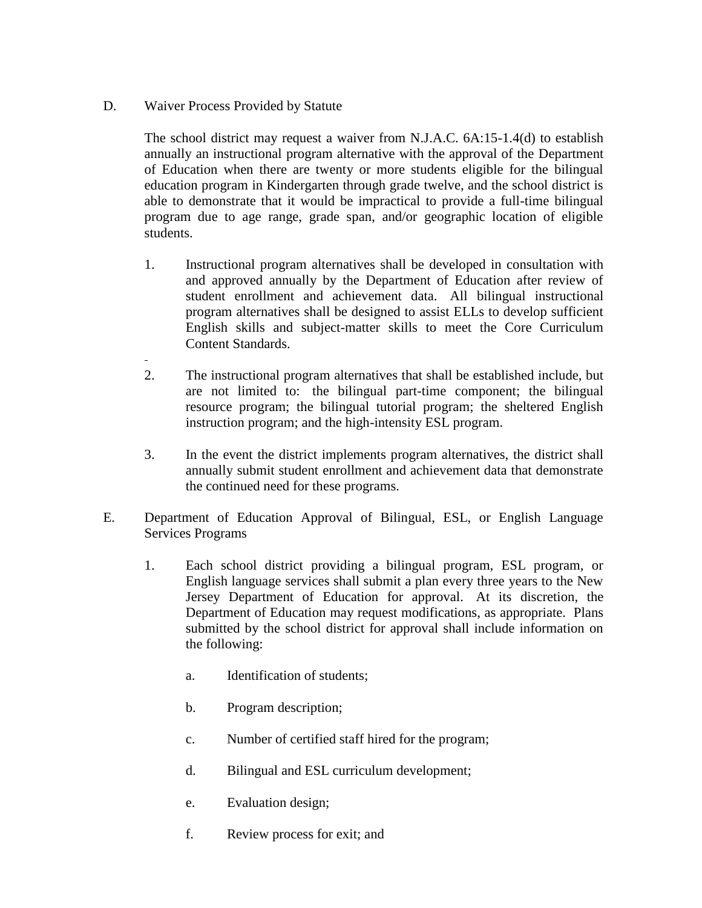## D. Waiver Process Provided by Statute

The school district may request a waiver from N.J.A.C. 6A:15-1.4(d) to establish annually an instructional program alternative with the approval of the Department of Education when there are twenty or more students eligible for the bilingual education program in Kindergarten through grade twelve, and the school district is able to demonstrate that it would be impractical to provide a full-time bilingual program due to age range, grade span, and/or geographic location of eligible students.

- 1. Instructional program alternatives shall be developed in consultation with and approved annually by the Department of Education after review of student enrollment and achievement data. All bilingual instructional program alternatives shall be designed to assist ELLs to develop sufficient English skills and subject-matter skills to meet the Core Curriculum Content Standards.
- 2. The instructional program alternatives that shall be established include, but are not limited to: the bilingual part-time component; the bilingual resource program; the bilingual tutorial program; the sheltered English instruction program; and the high-intensity ESL program.
- 3. In the event the district implements program alternatives, the district shall annually submit student enrollment and achievement data that demonstrate the continued need for these programs.
- E. Department of Education Approval of Bilingual, ESL, or English Language Services Programs
	- 1. Each school district providing a bilingual program, ESL program, or English language services shall submit a plan every three years to the New Jersey Department of Education for approval. At its discretion, the Department of Education may request modifications, as appropriate. Plans submitted by the school district for approval shall include information on the following:
		- a. Identification of students;
		- b. Program description;
		- c. Number of certified staff hired for the program;
		- d. Bilingual and ESL curriculum development;
		- e. Evaluation design;
		- f. Review process for exit; and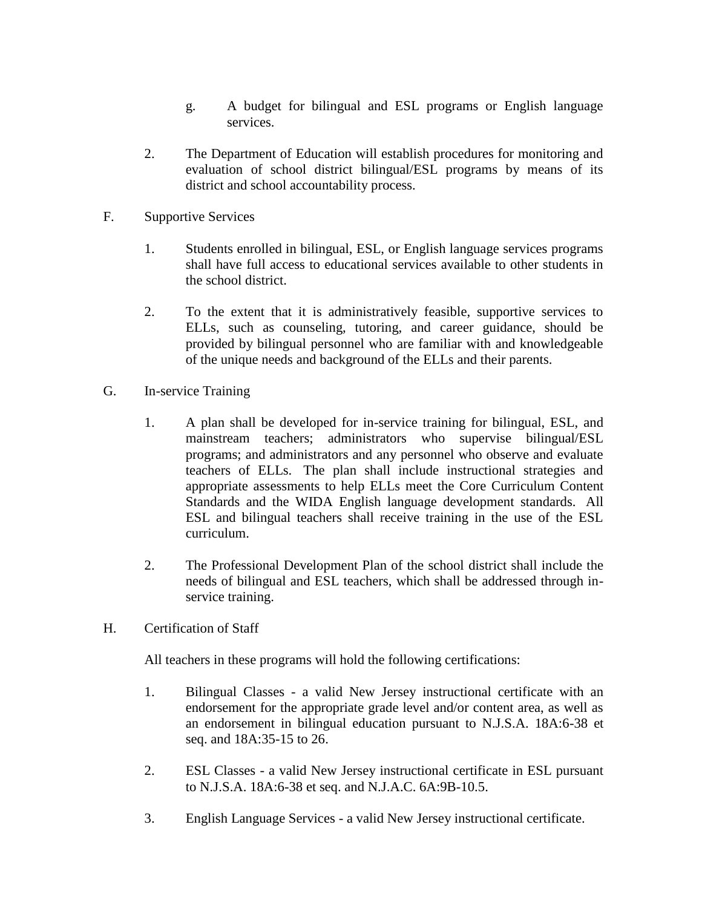- g. A budget for bilingual and ESL programs or English language services.
- 2. The Department of Education will establish procedures for monitoring and evaluation of school district bilingual/ESL programs by means of its district and school accountability process.
- F. Supportive Services
	- 1. Students enrolled in bilingual, ESL, or English language services programs shall have full access to educational services available to other students in the school district.
	- 2. To the extent that it is administratively feasible, supportive services to ELLs, such as counseling, tutoring, and career guidance, should be provided by bilingual personnel who are familiar with and knowledgeable of the unique needs and background of the ELLs and their parents.
- G. In-service Training
	- 1. A plan shall be developed for in-service training for bilingual, ESL, and mainstream teachers; administrators who supervise bilingual/ESL programs; and administrators and any personnel who observe and evaluate teachers of ELLs. The plan shall include instructional strategies and appropriate assessments to help ELLs meet the Core Curriculum Content Standards and the WIDA English language development standards. All ESL and bilingual teachers shall receive training in the use of the ESL curriculum.
	- 2. The Professional Development Plan of the school district shall include the needs of bilingual and ESL teachers, which shall be addressed through inservice training.
- H. Certification of Staff

All teachers in these programs will hold the following certifications:

- 1. Bilingual Classes a valid New Jersey instructional certificate with an endorsement for the appropriate grade level and/or content area, as well as an endorsement in bilingual education pursuant to N.J.S.A. 18A:6-38 et seq. and 18A:35-15 to 26.
- 2. ESL Classes a valid New Jersey instructional certificate in ESL pursuant to N.J.S.A. 18A:6-38 et seq. and N.J.A.C. 6A:9B-10.5.
- 3. English Language Services a valid New Jersey instructional certificate.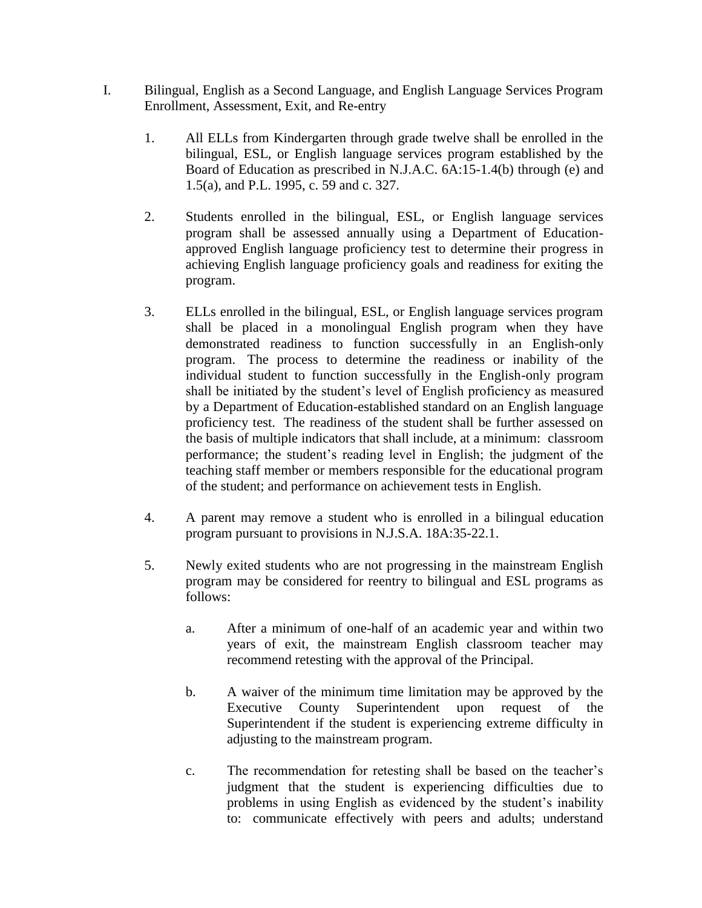- I. Bilingual, English as a Second Language, and English Language Services Program Enrollment, Assessment, Exit, and Re-entry
	- 1. All ELLs from Kindergarten through grade twelve shall be enrolled in the bilingual, ESL, or English language services program established by the Board of Education as prescribed in N.J.A.C. 6A:15-1.4(b) through (e) and 1.5(a), and P.L. 1995, c. 59 and c. 327.
	- 2. Students enrolled in the bilingual, ESL, or English language services program shall be assessed annually using a Department of Educationapproved English language proficiency test to determine their progress in achieving English language proficiency goals and readiness for exiting the program.
	- 3. ELLs enrolled in the bilingual, ESL, or English language services program shall be placed in a monolingual English program when they have demonstrated readiness to function successfully in an English-only program. The process to determine the readiness or inability of the individual student to function successfully in the English-only program shall be initiated by the student's level of English proficiency as measured by a Department of Education-established standard on an English language proficiency test. The readiness of the student shall be further assessed on the basis of multiple indicators that shall include, at a minimum: classroom performance; the student's reading level in English; the judgment of the teaching staff member or members responsible for the educational program of the student; and performance on achievement tests in English.
	- 4. A parent may remove a student who is enrolled in a bilingual education program pursuant to provisions in N.J.S.A. 18A:35-22.1.
	- 5. Newly exited students who are not progressing in the mainstream English program may be considered for reentry to bilingual and ESL programs as follows:
		- a. After a minimum of one-half of an academic year and within two years of exit, the mainstream English classroom teacher may recommend retesting with the approval of the Principal.
		- b. A waiver of the minimum time limitation may be approved by the Executive County Superintendent upon request of the Superintendent if the student is experiencing extreme difficulty in adjusting to the mainstream program.
		- c. The recommendation for retesting shall be based on the teacher's judgment that the student is experiencing difficulties due to problems in using English as evidenced by the student's inability to: communicate effectively with peers and adults; understand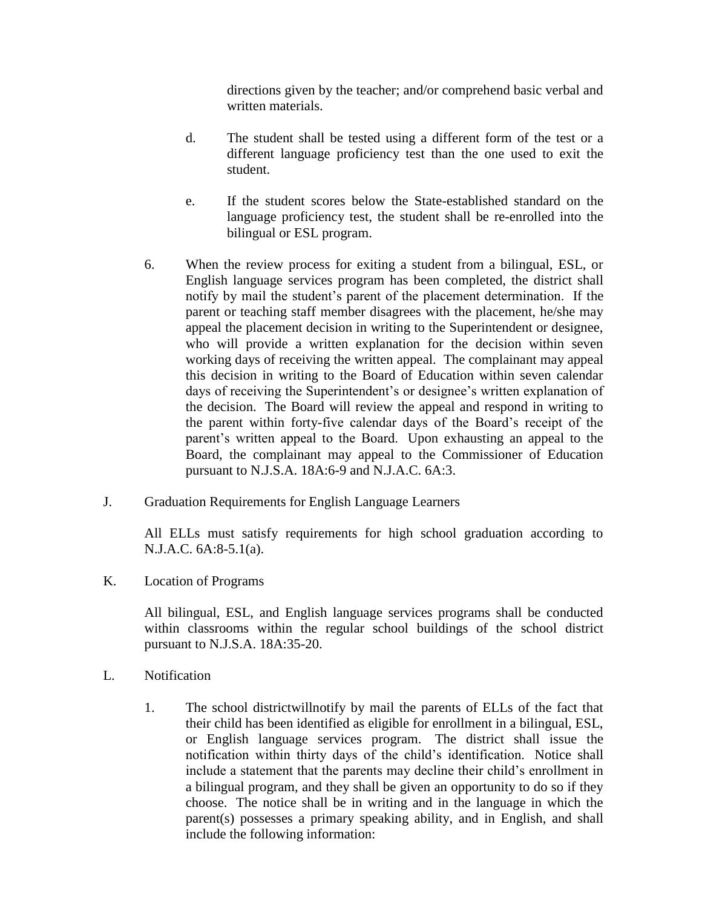directions given by the teacher; and/or comprehend basic verbal and written materials.

- d. The student shall be tested using a different form of the test or a different language proficiency test than the one used to exit the student.
- e. If the student scores below the State-established standard on the language proficiency test, the student shall be re-enrolled into the bilingual or ESL program.
- 6. When the review process for exiting a student from a bilingual, ESL, or English language services program has been completed, the district shall notify by mail the student's parent of the placement determination. If the parent or teaching staff member disagrees with the placement, he/she may appeal the placement decision in writing to the Superintendent or designee, who will provide a written explanation for the decision within seven working days of receiving the written appeal. The complainant may appeal this decision in writing to the Board of Education within seven calendar days of receiving the Superintendent's or designee's written explanation of the decision. The Board will review the appeal and respond in writing to the parent within forty-five calendar days of the Board's receipt of the parent's written appeal to the Board. Upon exhausting an appeal to the Board, the complainant may appeal to the Commissioner of Education pursuant to N.J.S.A. 18A:6-9 and N.J.A.C. 6A:3.
- J. Graduation Requirements for English Language Learners

All ELLs must satisfy requirements for high school graduation according to N.J.A.C. 6A:8-5.1(a).

K. Location of Programs

All bilingual, ESL, and English language services programs shall be conducted within classrooms within the regular school buildings of the school district pursuant to N.J.S.A. 18A:35-20.

- L. Notification
	- 1. The school districtwillnotify by mail the parents of ELLs of the fact that their child has been identified as eligible for enrollment in a bilingual, ESL, or English language services program. The district shall issue the notification within thirty days of the child's identification. Notice shall include a statement that the parents may decline their child's enrollment in a bilingual program, and they shall be given an opportunity to do so if they choose. The notice shall be in writing and in the language in which the parent(s) possesses a primary speaking ability, and in English, and shall include the following information: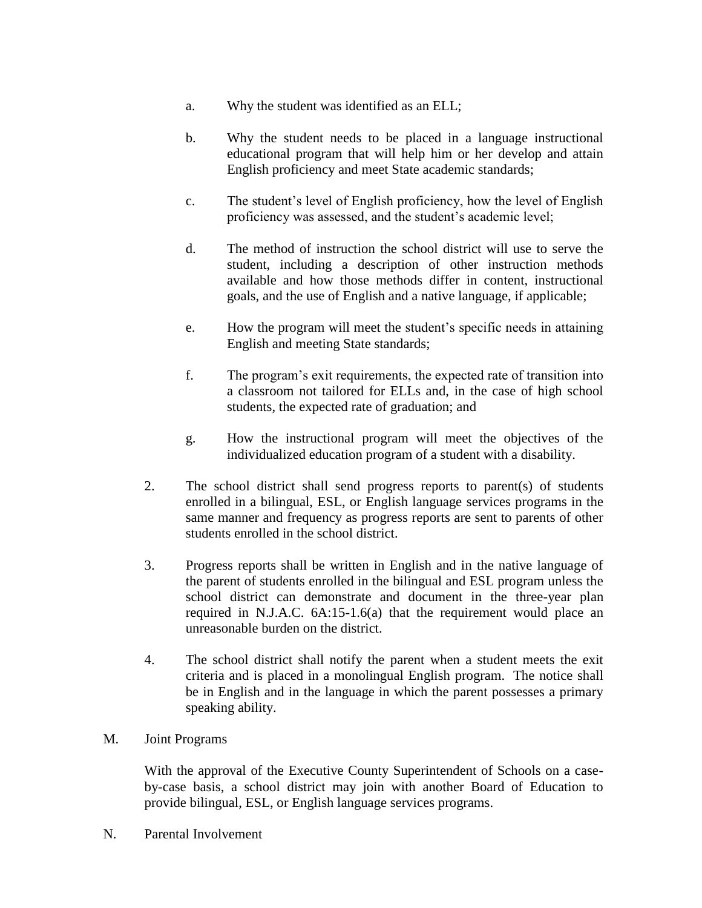- a. Why the student was identified as an ELL;
- b. Why the student needs to be placed in a language instructional educational program that will help him or her develop and attain English proficiency and meet State academic standards;
- c. The student's level of English proficiency, how the level of English proficiency was assessed, and the student's academic level;
- d. The method of instruction the school district will use to serve the student, including a description of other instruction methods available and how those methods differ in content, instructional goals, and the use of English and a native language, if applicable;
- e. How the program will meet the student's specific needs in attaining English and meeting State standards;
- f. The program's exit requirements, the expected rate of transition into a classroom not tailored for ELLs and, in the case of high school students, the expected rate of graduation; and
- g. How the instructional program will meet the objectives of the individualized education program of a student with a disability.
- 2. The school district shall send progress reports to parent(s) of students enrolled in a bilingual, ESL, or English language services programs in the same manner and frequency as progress reports are sent to parents of other students enrolled in the school district.
- 3. Progress reports shall be written in English and in the native language of the parent of students enrolled in the bilingual and ESL program unless the school district can demonstrate and document in the three-year plan required in N.J.A.C. 6A:15-1.6(a) that the requirement would place an unreasonable burden on the district.
- 4. The school district shall notify the parent when a student meets the exit criteria and is placed in a monolingual English program. The notice shall be in English and in the language in which the parent possesses a primary speaking ability.
- M. Joint Programs

With the approval of the Executive County Superintendent of Schools on a caseby-case basis, a school district may join with another Board of Education to provide bilingual, ESL, or English language services programs.

N. Parental Involvement